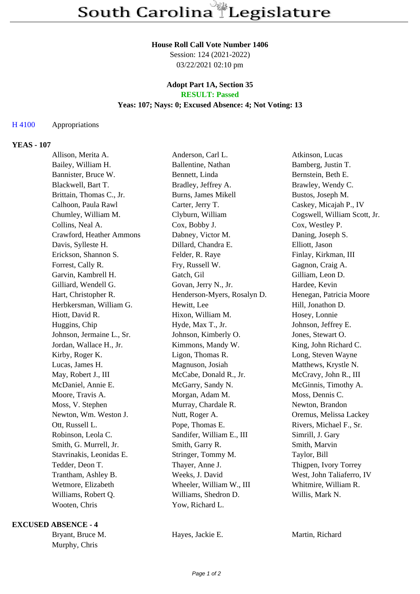#### **House Roll Call Vote Number 1406**

Session: 124 (2021-2022) 03/22/2021 02:10 pm

#### **Adopt Part 1A, Section 35 RESULT: Passed**

# **Yeas: 107; Nays: 0; Excused Absence: 4; Not Voting: 13**

# H 4100 Appropriations

### **YEAS - 107**

| Allison, Merita A.        | Anderson, Carl L.           | Atkinson, Lucas              |
|---------------------------|-----------------------------|------------------------------|
| Bailey, William H.        | Ballentine, Nathan          | Bamberg, Justin T.           |
| Bannister, Bruce W.       | Bennett, Linda              | Bernstein, Beth E.           |
| Blackwell, Bart T.        | Bradley, Jeffrey A.         | Brawley, Wendy C.            |
| Brittain, Thomas C., Jr.  | Burns, James Mikell         | Bustos, Joseph M.            |
| Calhoon, Paula Rawl       | Carter, Jerry T.            | Caskey, Micajah P., IV       |
| Chumley, William M.       | Clyburn, William            | Cogswell, William Scott, Jr. |
| Collins, Neal A.          | Cox, Bobby J.               | Cox, Westley P.              |
| Crawford, Heather Ammons  | Dabney, Victor M.           | Daning, Joseph S.            |
| Davis, Sylleste H.        | Dillard, Chandra E.         | Elliott, Jason               |
| Erickson, Shannon S.      | Felder, R. Raye             | Finlay, Kirkman, III         |
| Forrest, Cally R.         | Fry, Russell W.             | Gagnon, Craig A.             |
| Garvin, Kambrell H.       | Gatch, Gil                  | Gilliam, Leon D.             |
| Gilliard, Wendell G.      | Govan, Jerry N., Jr.        | Hardee, Kevin                |
| Hart, Christopher R.      | Henderson-Myers, Rosalyn D. | Henegan, Patricia Moore      |
| Herbkersman, William G.   | Hewitt, Lee                 | Hill, Jonathon D.            |
| Hiott, David R.           | Hixon, William M.           | Hosey, Lonnie                |
| Huggins, Chip             | Hyde, Max T., Jr.           | Johnson, Jeffrey E.          |
| Johnson, Jermaine L., Sr. | Johnson, Kimberly O.        | Jones, Stewart O.            |
| Jordan, Wallace H., Jr.   | Kimmons, Mandy W.           | King, John Richard C.        |
| Kirby, Roger K.           | Ligon, Thomas R.            | Long, Steven Wayne           |
| Lucas, James H.           | Magnuson, Josiah            | Matthews, Krystle N.         |
| May, Robert J., III       | McCabe, Donald R., Jr.      | McCravy, John R., III        |
| McDaniel, Annie E.        | McGarry, Sandy N.           | McGinnis, Timothy A.         |
| Moore, Travis A.          | Morgan, Adam M.             | Moss, Dennis C.              |
| Moss, V. Stephen          | Murray, Chardale R.         | Newton, Brandon              |
| Newton, Wm. Weston J.     | Nutt, Roger A.              | Oremus, Melissa Lackey       |
| Ott, Russell L.           | Pope, Thomas E.             | Rivers, Michael F., Sr.      |
| Robinson, Leola C.        | Sandifer, William E., III   | Simrill, J. Gary             |
| Smith, G. Murrell, Jr.    | Smith, Garry R.             | Smith, Marvin                |
| Stavrinakis, Leonidas E.  | Stringer, Tommy M.          | Taylor, Bill                 |
| Tedder, Deon T.           | Thayer, Anne J.             | Thigpen, Ivory Torrey        |
| Trantham, Ashley B.       | Weeks, J. David             | West, John Taliaferro, IV    |
| Wetmore, Elizabeth        | Wheeler, William W., III    | Whitmire, William R.         |
| Williams, Robert Q.       | Williams, Shedron D.        | Willis, Mark N.              |
| Wooten, Chris             | Yow, Richard L.             |                              |

# **EXCUSED ABSENCE - 4**

Murphy, Chris

Bryant, Bruce M. **Hayes, Jackie E.** Martin, Richard